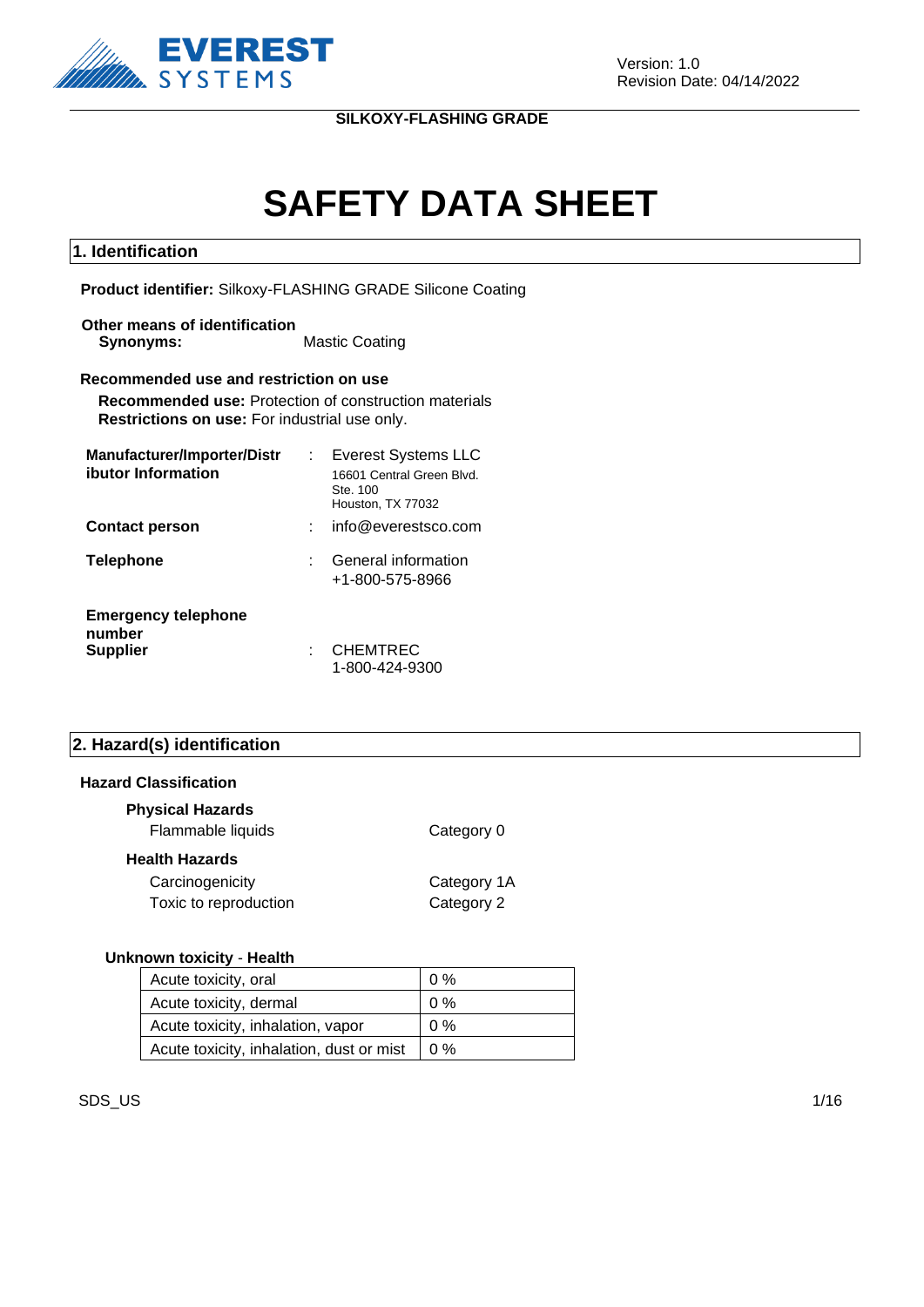

# **SAFETY DATA SHEET**

#### **1. Identification**

**Product identifier:** Silkoxy-FLASHING GRADE Silicone Coating

**Other means of identification Synonyms:** Mastic Coating

#### **Recommended use and restriction on use**

**Recommended use:** Protection of construction materials **Restrictions on use:** For industrial use only.

| Manufacturer/Importer/Distr          | <b>Everest Systems LLC</b>                                 |
|--------------------------------------|------------------------------------------------------------|
| ibutor Information                   | 16601 Central Green Blvd.<br>Ste. 100<br>Houston, TX 77032 |
| <b>Contact person</b>                | info@everestsco.com                                        |
| <b>Telephone</b>                     | General information<br>+1-800-575-8966                     |
| <b>Emergency telephone</b><br>number |                                                            |
| <b>Supplier</b>                      | <b>CHEMTREC</b><br>1-800-424-9300                          |

#### **2. Hazard(s) identification**

#### **Hazard Classification**

| <b>Physical Hazards</b><br>Flammable liquids | Category 0                |
|----------------------------------------------|---------------------------|
| Health Hazards                               |                           |
| Carcinogenicity<br>Toxic to reproduction     | Category 1A<br>Category 2 |

#### **Unknown toxicity** - **Health**

| Acute toxicity, oral                     | $0\%$        |
|------------------------------------------|--------------|
| Acute toxicity, dermal                   | 0%           |
| Acute toxicity, inhalation, vapor        | $0\%$        |
| Acute toxicity, inhalation, dust or mist | $\sqrt{0\%}$ |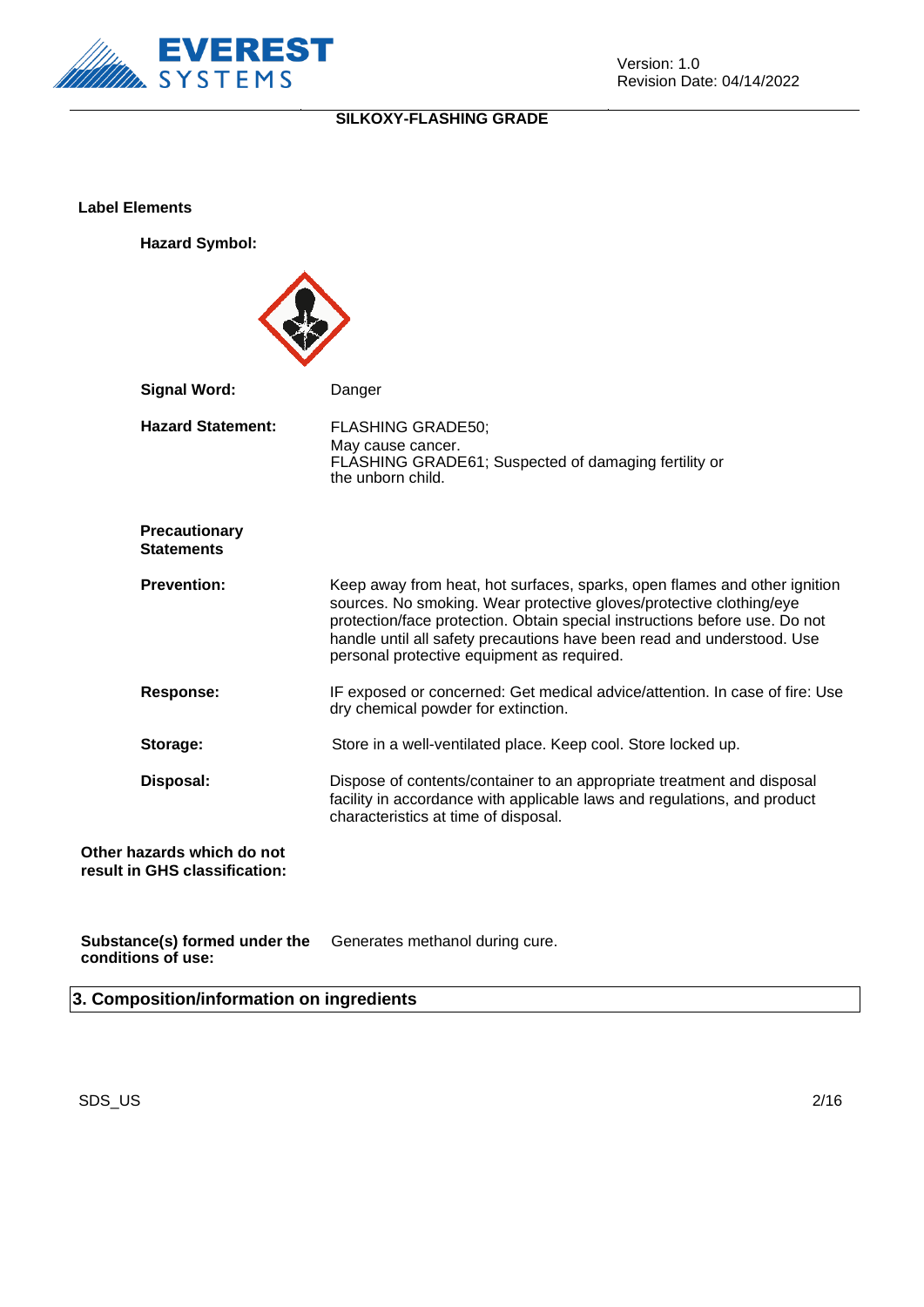

**Label Elements**

**Hazard Symbol:**



| <b>Signal Word:</b>                                         | Danger                                                                                                                                                                                                                                                                                                                                                 |
|-------------------------------------------------------------|--------------------------------------------------------------------------------------------------------------------------------------------------------------------------------------------------------------------------------------------------------------------------------------------------------------------------------------------------------|
| <b>Hazard Statement:</b>                                    | <b>FLASHING GRADE50;</b><br>May cause cancer.<br>FLASHING GRADE61; Suspected of damaging fertility or<br>the unborn child.                                                                                                                                                                                                                             |
| <b>Precautionary</b><br><b>Statements</b>                   |                                                                                                                                                                                                                                                                                                                                                        |
| <b>Prevention:</b>                                          | Keep away from heat, hot surfaces, sparks, open flames and other ignition<br>sources. No smoking. Wear protective gloves/protective clothing/eye<br>protection/face protection. Obtain special instructions before use. Do not<br>handle until all safety precautions have been read and understood. Use<br>personal protective equipment as required. |
| <b>Response:</b>                                            | IF exposed or concerned: Get medical advice/attention. In case of fire: Use<br>dry chemical powder for extinction.                                                                                                                                                                                                                                     |
| Storage:                                                    | Store in a well-ventilated place. Keep cool. Store locked up.                                                                                                                                                                                                                                                                                          |
| Disposal:                                                   | Dispose of contents/container to an appropriate treatment and disposal<br>facility in accordance with applicable laws and regulations, and product<br>characteristics at time of disposal.                                                                                                                                                             |
| Other hazards which do not<br>result in GHS classification: |                                                                                                                                                                                                                                                                                                                                                        |

**Substance(s) formed under the conditions of use:** Generates methanol during cure.

**3. Composition/information on ingredients**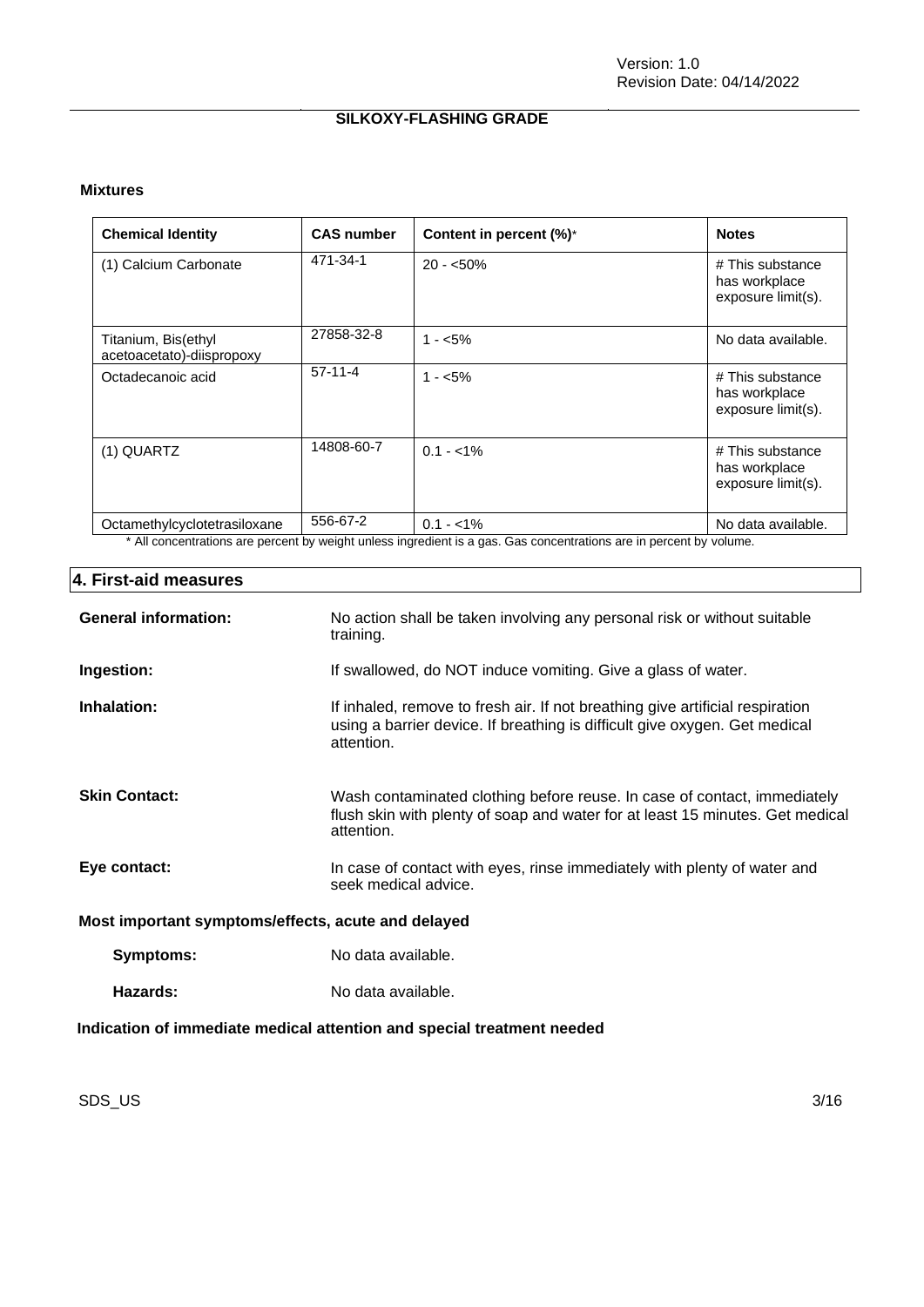#### **Mixtures**

| <b>Chemical Identity</b>                         | <b>CAS number</b> | Content in percent (%)*                                                                                                           | <b>Notes</b>                                            |
|--------------------------------------------------|-------------------|-----------------------------------------------------------------------------------------------------------------------------------|---------------------------------------------------------|
| (1) Calcium Carbonate                            | 471-34-1          | $20 - 50\%$                                                                                                                       | # This substance<br>has workplace<br>exposure limit(s). |
| Titanium, Bis(ethyl<br>acetoacetato)-diispropoxy | 27858-32-8        | $1 - 5\%$                                                                                                                         | No data available.                                      |
| Octadecanoic acid                                | $57-11-4$         | $1 - 5\%$                                                                                                                         | # This substance<br>has workplace<br>exposure limit(s). |
| (1) QUARTZ                                       | 14808-60-7        | $0.1 - 1\%$                                                                                                                       | # This substance<br>has workplace<br>exposure limit(s). |
| Octamethylcyclotetrasiloxane                     | 556-67-2          | $0.1 - 1\%$<br>* All conceptrations are persont by weight upleas ingradient is a gas. Cas conceptrations are in persont by valume | No data available.                                      |

All concentrations are percent by weight unless ingredient is a gas. Gas concentrations are in percent by volume.

### **4. First-aid measures**

| <b>General information:</b>                                            | No action shall be taken involving any personal risk or without suitable<br>training.                                                                                     |  |
|------------------------------------------------------------------------|---------------------------------------------------------------------------------------------------------------------------------------------------------------------------|--|
| Ingestion:                                                             | If swallowed, do NOT induce vomiting. Give a glass of water.                                                                                                              |  |
| Inhalation:                                                            | If inhaled, remove to fresh air. If not breathing give artificial respiration<br>using a barrier device. If breathing is difficult give oxygen. Get medical<br>attention. |  |
| <b>Skin Contact:</b>                                                   | Wash contaminated clothing before reuse. In case of contact, immediately<br>flush skin with plenty of soap and water for at least 15 minutes. Get medical<br>attention.   |  |
| Eye contact:                                                           | In case of contact with eyes, rinse immediately with plenty of water and<br>seek medical advice.                                                                          |  |
| Most important symptoms/effects, acute and delayed                     |                                                                                                                                                                           |  |
| Symptoms:                                                              | No data available.                                                                                                                                                        |  |
| Hazards:                                                               | No data available.                                                                                                                                                        |  |
| Indication of immediate medical attention and special treatment needed |                                                                                                                                                                           |  |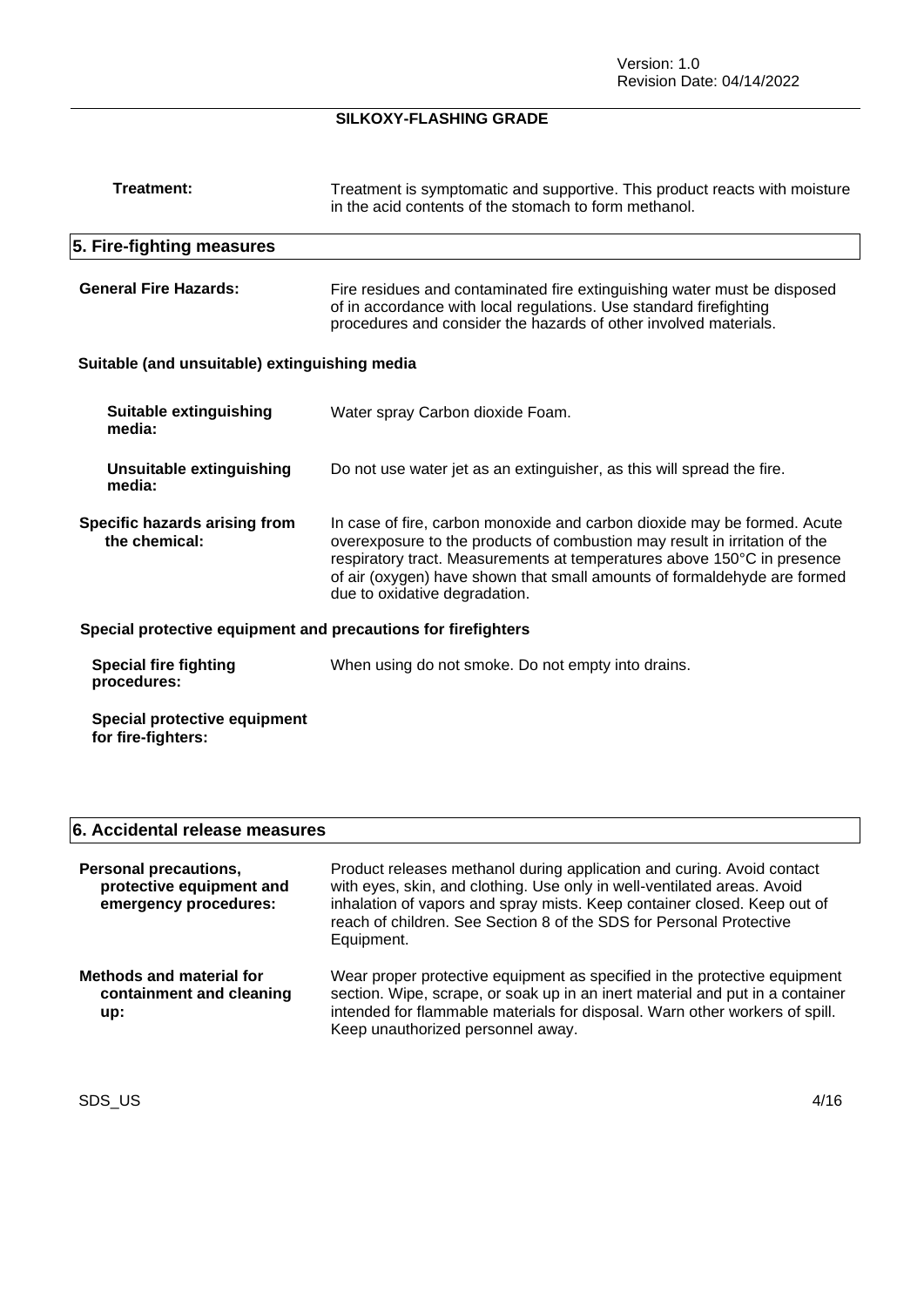| Treatment:                                                    | Treatment is symptomatic and supportive. This product reacts with moisture<br>in the acid contents of the stomach to form methanol.                                                                                                                                                                                                            |  |
|---------------------------------------------------------------|------------------------------------------------------------------------------------------------------------------------------------------------------------------------------------------------------------------------------------------------------------------------------------------------------------------------------------------------|--|
| 5. Fire-fighting measures                                     |                                                                                                                                                                                                                                                                                                                                                |  |
| <b>General Fire Hazards:</b>                                  | Fire residues and contaminated fire extinguishing water must be disposed<br>of in accordance with local regulations. Use standard firefighting<br>procedures and consider the hazards of other involved materials.                                                                                                                             |  |
| Suitable (and unsuitable) extinguishing media                 |                                                                                                                                                                                                                                                                                                                                                |  |
| Suitable extinguishing<br>media:                              | Water spray Carbon dioxide Foam.                                                                                                                                                                                                                                                                                                               |  |
| <b>Unsuitable extinguishing</b><br>media:                     | Do not use water jet as an extinguisher, as this will spread the fire.                                                                                                                                                                                                                                                                         |  |
| Specific hazards arising from<br>the chemical:                | In case of fire, carbon monoxide and carbon dioxide may be formed. Acute<br>overexposure to the products of combustion may result in irritation of the<br>respiratory tract. Measurements at temperatures above 150°C in presence<br>of air (oxygen) have shown that small amounts of formaldehyde are formed<br>due to oxidative degradation. |  |
| Special protective equipment and precautions for firefighters |                                                                                                                                                                                                                                                                                                                                                |  |
| <b>Special fire fighting</b><br>procedures:                   | When using do not smoke. Do not empty into drains.                                                                                                                                                                                                                                                                                             |  |
| Special protective equipment<br>for fire-fighters:            |                                                                                                                                                                                                                                                                                                                                                |  |

### **6. Accidental release measures**

| <b>Personal precautions,</b><br>protective equipment and<br>emergency procedures: | Product releases methanol during application and curing. Avoid contact<br>with eyes, skin, and clothing. Use only in well-ventilated areas. Avoid<br>inhalation of vapors and spray mists. Keep container closed. Keep out of<br>reach of children. See Section 8 of the SDS for Personal Protective<br>Equipment. |
|-----------------------------------------------------------------------------------|--------------------------------------------------------------------------------------------------------------------------------------------------------------------------------------------------------------------------------------------------------------------------------------------------------------------|
| <b>Methods and material for</b><br>containment and cleaning<br>up:                | Wear proper protective equipment as specified in the protective equipment<br>section. Wipe, scrape, or soak up in an inert material and put in a container<br>intended for flammable materials for disposal. Warn other workers of spill.<br>Keep unauthorized personnel away.                                     |

SDS\_US 4/16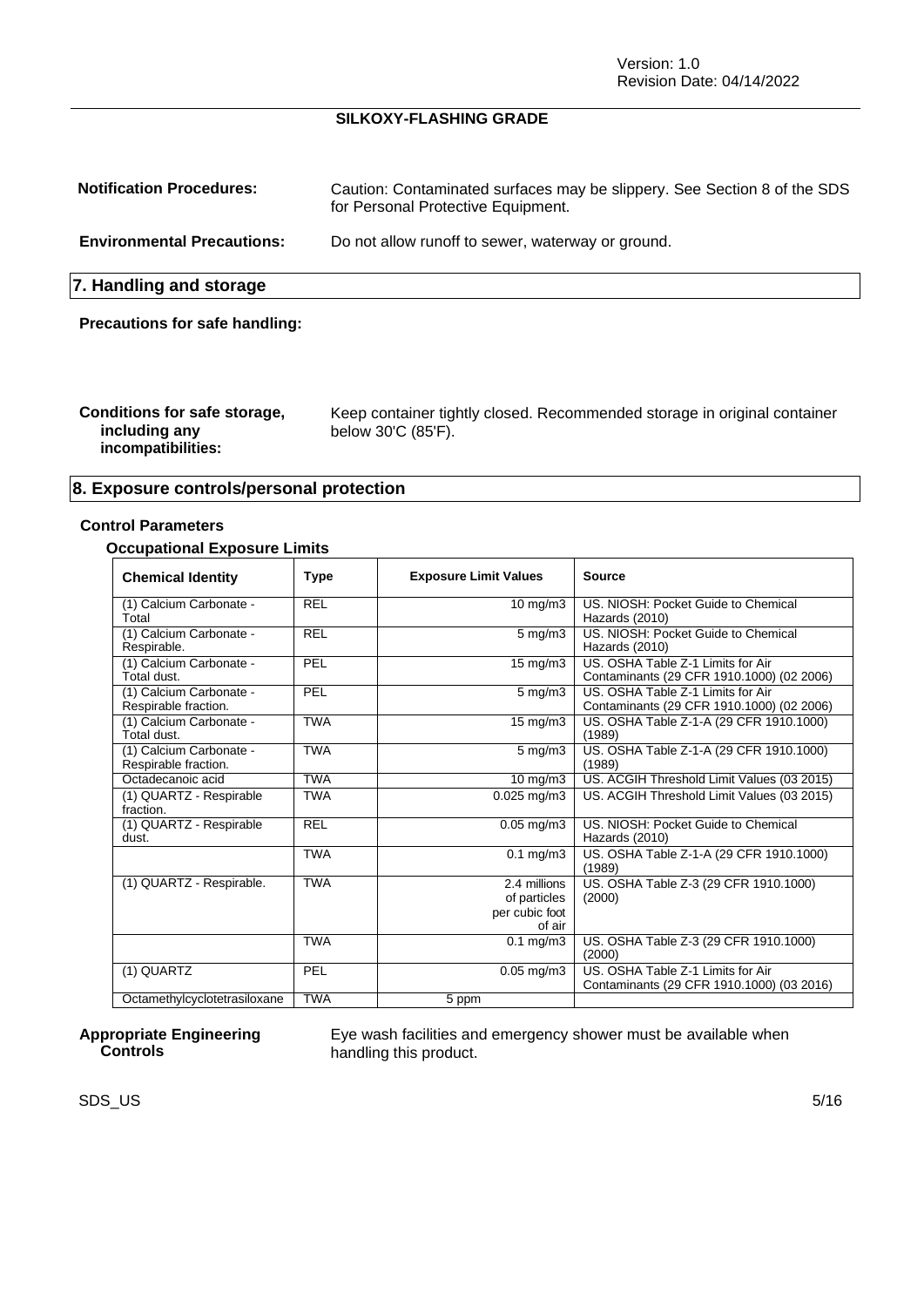Version: 1.0 Revision Date: 04/14/2022

#### **SILKOXY-FLASHING GRADE**

| <b>Notification Procedures:</b>       | Caution: Contaminated surfaces may be slippery. See Section 8 of the SDS<br>for Personal Protective Equipment. |  |
|---------------------------------------|----------------------------------------------------------------------------------------------------------------|--|
| <b>Environmental Precautions:</b>     | Do not allow runoff to sewer, waterway or ground.                                                              |  |
| 7. Handling and storage               |                                                                                                                |  |
| <b>Precautions for safe handling:</b> |                                                                                                                |  |

| Conditions for safe storage,<br>including any<br>incompatibilities: | Keep container tightly closed. Recommended storage in original container<br>below 30'C (85'F). |
|---------------------------------------------------------------------|------------------------------------------------------------------------------------------------|
|---------------------------------------------------------------------|------------------------------------------------------------------------------------------------|

### **8. Exposure controls/personal protection**

#### **Control Parameters**

#### **Occupational Exposure Limits**

| <b>Chemical Identity</b>                        | <b>Type</b> | <b>Exposure Limit Values</b>                             | Source                                                                         |
|-------------------------------------------------|-------------|----------------------------------------------------------|--------------------------------------------------------------------------------|
| (1) Calcium Carbonate -<br>Total                | <b>REL</b>  | $10 \text{ mg/m}$                                        | US. NIOSH: Pocket Guide to Chemical<br>Hazards (2010)                          |
| (1) Calcium Carbonate -<br>Respirable.          | <b>REL</b>  | $5 \text{ mg/m}$ 3                                       | US. NIOSH: Pocket Guide to Chemical<br>Hazards (2010)                          |
| (1) Calcium Carbonate -<br>Total dust.          | PEL         | $15 \text{ mg/m}$                                        | US. OSHA Table Z-1 Limits for Air<br>Contaminants (29 CFR 1910.1000) (02 2006) |
| (1) Calcium Carbonate -<br>Respirable fraction. | PEL         | $5 \text{ mg/m}$ 3                                       | US. OSHA Table Z-1 Limits for Air<br>Contaminants (29 CFR 1910.1000) (02 2006) |
| (1) Calcium Carbonate -<br>Total dust.          | <b>TWA</b>  | 15 mg/m3                                                 | US. OSHA Table Z-1-A (29 CFR 1910.1000)<br>(1989)                              |
| (1) Calcium Carbonate -<br>Respirable fraction. | <b>TWA</b>  | $5 \text{ mg/m}$                                         | US. OSHA Table Z-1-A (29 CFR 1910.1000)<br>(1989)                              |
| Octadecanoic acid                               | <b>TWA</b>  | $10 \overline{\text{mg}}/\text{m}3$                      | US. ACGIH Threshold Limit Values (03 2015)                                     |
| (1) QUARTZ - Respirable<br>fraction.            | <b>TWA</b>  | $0.025$ mg/m $3$                                         | US. ACGIH Threshold Limit Values (03 2015)                                     |
| (1) QUARTZ - Respirable<br>dust.                | <b>REL</b>  | $0.05$ mg/m3                                             | US. NIOSH: Pocket Guide to Chemical<br>Hazards (2010)                          |
|                                                 | <b>TWA</b>  | $0.1 \text{ mg/m}$ 3                                     | US. OSHA Table Z-1-A (29 CFR 1910.1000)<br>(1989)                              |
| (1) QUARTZ - Respirable.                        | <b>TWA</b>  | 2.4 millions<br>of particles<br>per cubic foot<br>of air | US. OSHA Table Z-3 (29 CFR 1910.1000)<br>(2000)                                |
|                                                 | <b>TWA</b>  | $0.1$ mg/m $3$                                           | US. OSHA Table Z-3 (29 CFR 1910.1000)<br>(2000)                                |
| (1) QUARTZ                                      | PEL         | $0.05$ mg/m $3$                                          | US. OSHA Table Z-1 Limits for Air<br>Contaminants (29 CFR 1910.1000) (03 2016) |
| Octamethylcyclotetrasiloxane                    | <b>TWA</b>  | $\overline{5}$ ppm                                       |                                                                                |

#### **Appropriate Engineering Controls**

Eye wash facilities and emergency shower must be available when handling this product.

 $\mathsf{SDS}\_\mathsf{U}\mathsf{S}$  5/16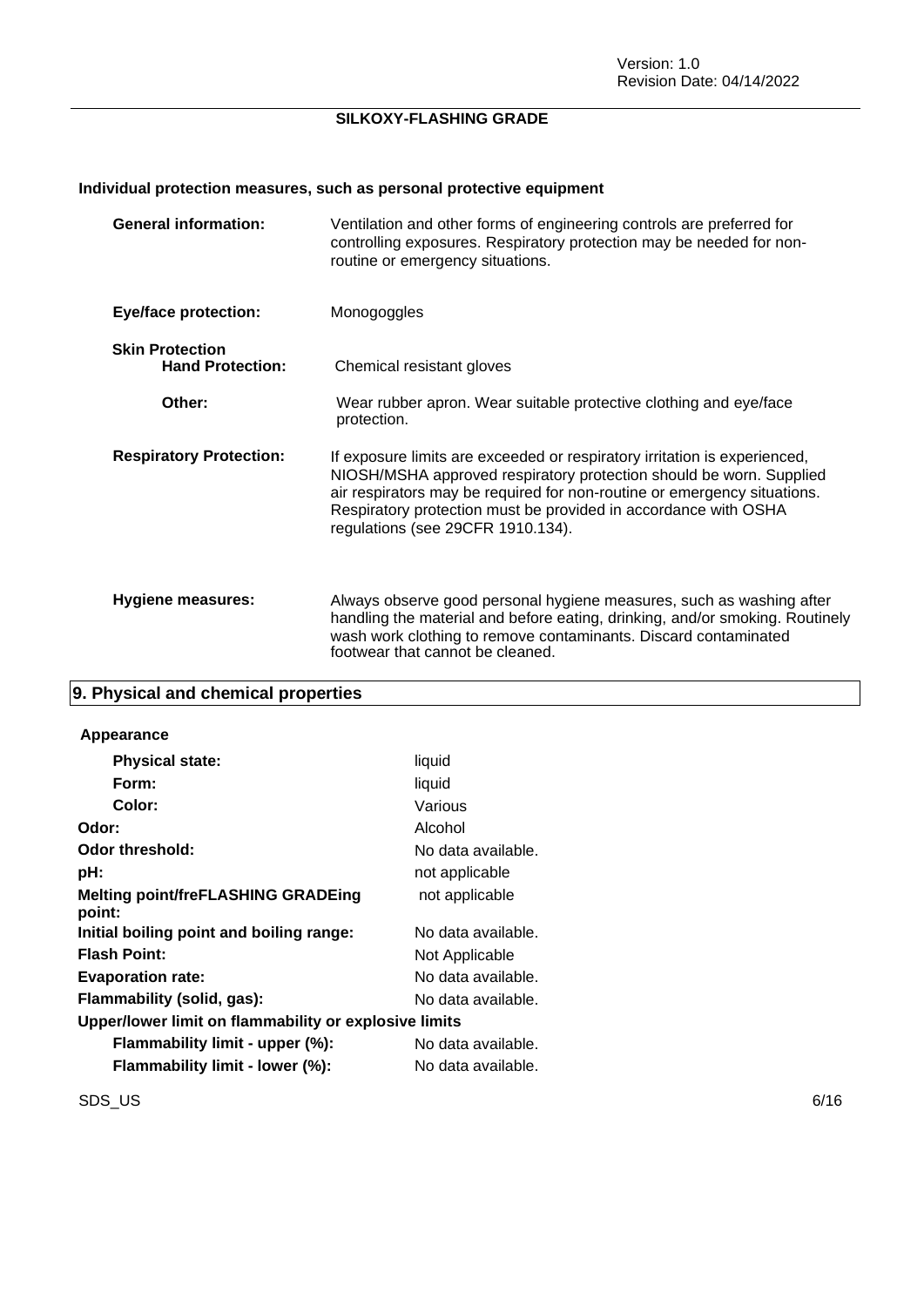### **Individual protection measures, such as personal protective equipment**

| <b>General information:</b>                       | Ventilation and other forms of engineering controls are preferred for<br>controlling exposures. Respiratory protection may be needed for non-<br>routine or emergency situations.                                                                                                                                                    |
|---------------------------------------------------|--------------------------------------------------------------------------------------------------------------------------------------------------------------------------------------------------------------------------------------------------------------------------------------------------------------------------------------|
| <b>Eye/face protection:</b>                       | Monogoggles                                                                                                                                                                                                                                                                                                                          |
| <b>Skin Protection</b><br><b>Hand Protection:</b> | Chemical resistant gloves                                                                                                                                                                                                                                                                                                            |
| Other:                                            | Wear rubber apron. Wear suitable protective clothing and eye/face<br>protection.                                                                                                                                                                                                                                                     |
| <b>Respiratory Protection:</b>                    | If exposure limits are exceeded or respiratory irritation is experienced,<br>NIOSH/MSHA approved respiratory protection should be worn. Supplied<br>air respirators may be required for non-routine or emergency situations.<br>Respiratory protection must be provided in accordance with OSHA<br>regulations (see 29CFR 1910.134). |
| <b>Hygiene measures:</b>                          | Always observe good personal hygiene measures, such as washing after<br>handling the material and before eating, drinking, and/or smoking. Routinely<br>wash work clothing to remove contaminants. Discard contaminated<br>footwear that cannot be cleaned.                                                                          |

### **9. Physical and chemical properties**

#### **Appearance**

| <b>Physical state:</b>                                | liquid             |  |
|-------------------------------------------------------|--------------------|--|
| Form:                                                 | liquid             |  |
| Color:                                                | Various            |  |
| Odor:                                                 | Alcohol            |  |
| Odor threshold:                                       | No data available. |  |
| pH:                                                   | not applicable     |  |
| <b>Melting point/freFLASHING GRADEing</b><br>point:   | not applicable     |  |
| Initial boiling point and boiling range:              | No data available. |  |
| <b>Flash Point:</b>                                   | Not Applicable     |  |
| <b>Evaporation rate:</b>                              | No data available. |  |
| Flammability (solid, gas):                            | No data available. |  |
| Upper/lower limit on flammability or explosive limits |                    |  |
| Flammability limit - upper (%):                       | No data available. |  |
| Flammability limit - lower (%):                       | No data available. |  |

 $\mathsf{SDS\_US}$  6/16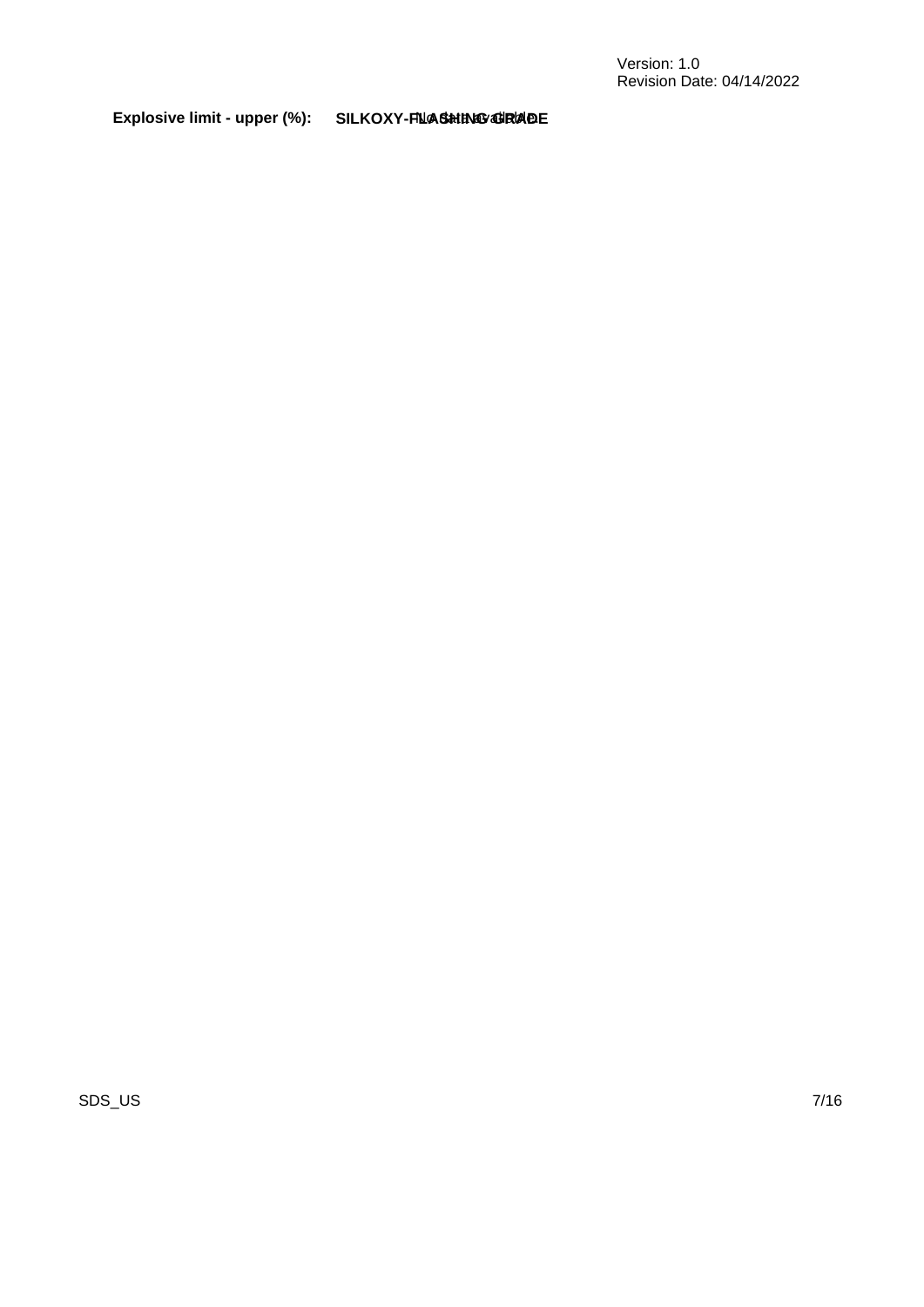Explosive limit - upper (%): SILKOXY-FIL**AS<del>h</del>ING GRADE** 

SDS\_US 7/16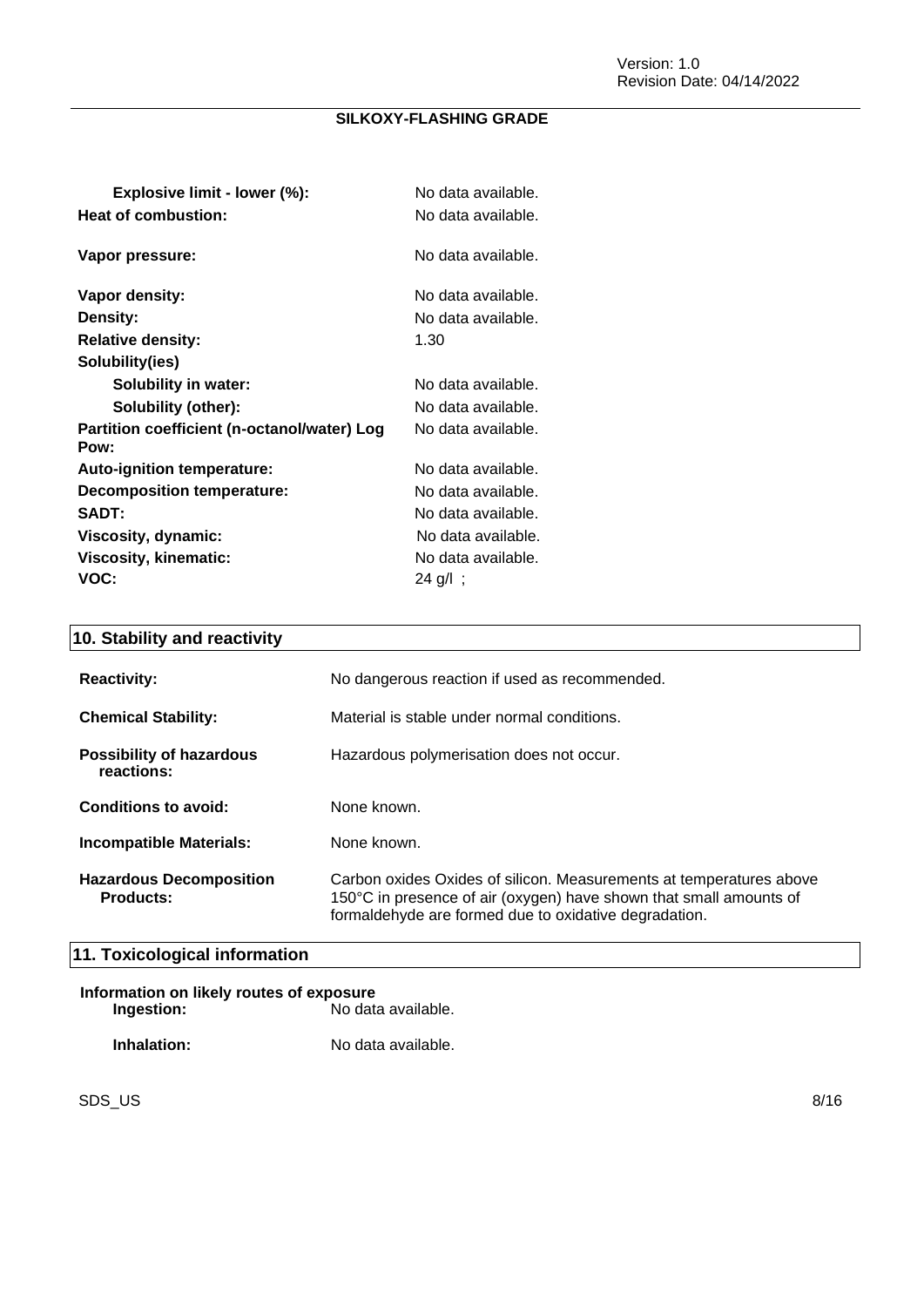| Explosive limit - lower (%):                        | No data available. |
|-----------------------------------------------------|--------------------|
| Heat of combustion:                                 | No data available. |
| Vapor pressure:                                     | No data available. |
| Vapor density:                                      | No data available. |
| <b>Density:</b>                                     | No data available. |
| <b>Relative density:</b>                            | 1.30               |
| Solubility(ies)                                     |                    |
| <b>Solubility in water:</b>                         | No data available. |
| Solubility (other):                                 | No data available. |
| Partition coefficient (n-octanol/water) Log<br>Pow: | No data available. |
| <b>Auto-ignition temperature:</b>                   | No data available. |
| Decomposition temperature:                          | No data available. |
| <b>SADT:</b>                                        | No data available. |
| Viscosity, dynamic:                                 | No data available. |
| Viscosity, kinematic:                               | No data available. |
| VOC:                                                | 24 g/l;            |

### **10. Stability and reactivity**

| <b>Reactivity:</b>                                 | No dangerous reaction if used as recommended.                                                                                                                                                      |
|----------------------------------------------------|----------------------------------------------------------------------------------------------------------------------------------------------------------------------------------------------------|
| <b>Chemical Stability:</b>                         | Material is stable under normal conditions.                                                                                                                                                        |
| <b>Possibility of hazardous</b><br>reactions:      | Hazardous polymerisation does not occur.                                                                                                                                                           |
| Conditions to avoid:                               | None known.                                                                                                                                                                                        |
| Incompatible Materials:                            | None known.                                                                                                                                                                                        |
| <b>Hazardous Decomposition</b><br><b>Products:</b> | Carbon oxides Oxides of silicon. Measurements at temperatures above<br>150°C in presence of air (oxygen) have shown that small amounts of<br>formaldehyde are formed due to oxidative degradation. |

### **11. Toxicological information**

| Information on likely routes of exposure |                    |  |
|------------------------------------------|--------------------|--|
| Ingestion:                               | No data available. |  |
| Inhalation:                              | No data available. |  |

 $\mathsf{SDS\_US}$  8/16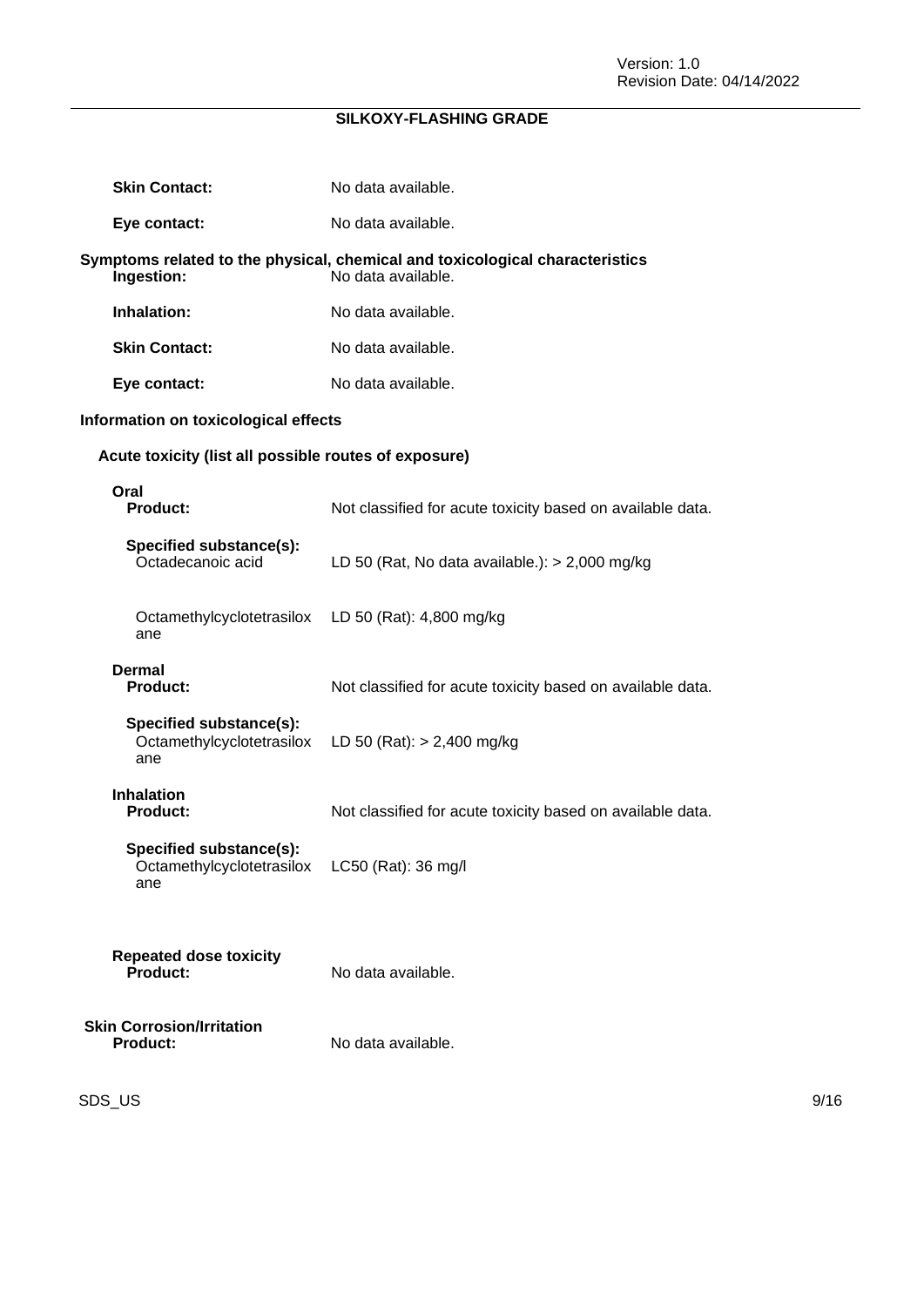| <b>Skin Contact:</b>                                        | No data available.                                                                                 |
|-------------------------------------------------------------|----------------------------------------------------------------------------------------------------|
| Eye contact:                                                | No data available.                                                                                 |
| Ingestion:                                                  | Symptoms related to the physical, chemical and toxicological characteristics<br>No data available. |
| Inhalation:                                                 | No data available.                                                                                 |
| <b>Skin Contact:</b>                                        | No data available.                                                                                 |
| Eye contact:                                                | No data available.                                                                                 |
| Information on toxicological effects                        |                                                                                                    |
| Acute toxicity (list all possible routes of exposure)       |                                                                                                    |
| Oral<br><b>Product:</b>                                     | Not classified for acute toxicity based on available data.                                         |
| Specified substance(s):<br>Octadecanoic acid                | LD 50 (Rat, No data available.): $>$ 2,000 mg/kg                                                   |
| Octamethylcyclotetrasilox<br>ane                            | LD 50 (Rat): 4,800 mg/kg                                                                           |
| <b>Dermal</b><br><b>Product:</b>                            | Not classified for acute toxicity based on available data.                                         |
| Specified substance(s):<br>Octamethylcyclotetrasilox<br>ane | LD 50 (Rat): $> 2,400$ mg/kg                                                                       |
| <b>Inhalation</b><br><b>Product:</b>                        | Not classified for acute toxicity based on available data.                                         |
| Specified substance(s):<br>Octamethylcyclotetrasilox<br>ane | $LC50$ (Rat): 36 mg/l                                                                              |
| <b>Repeated dose toxicity</b><br>Product:                   | No data available.                                                                                 |
| <b>Skin Corrosion/Irritation</b><br><b>Product:</b>         | No data available.                                                                                 |

SDS\_US 9/16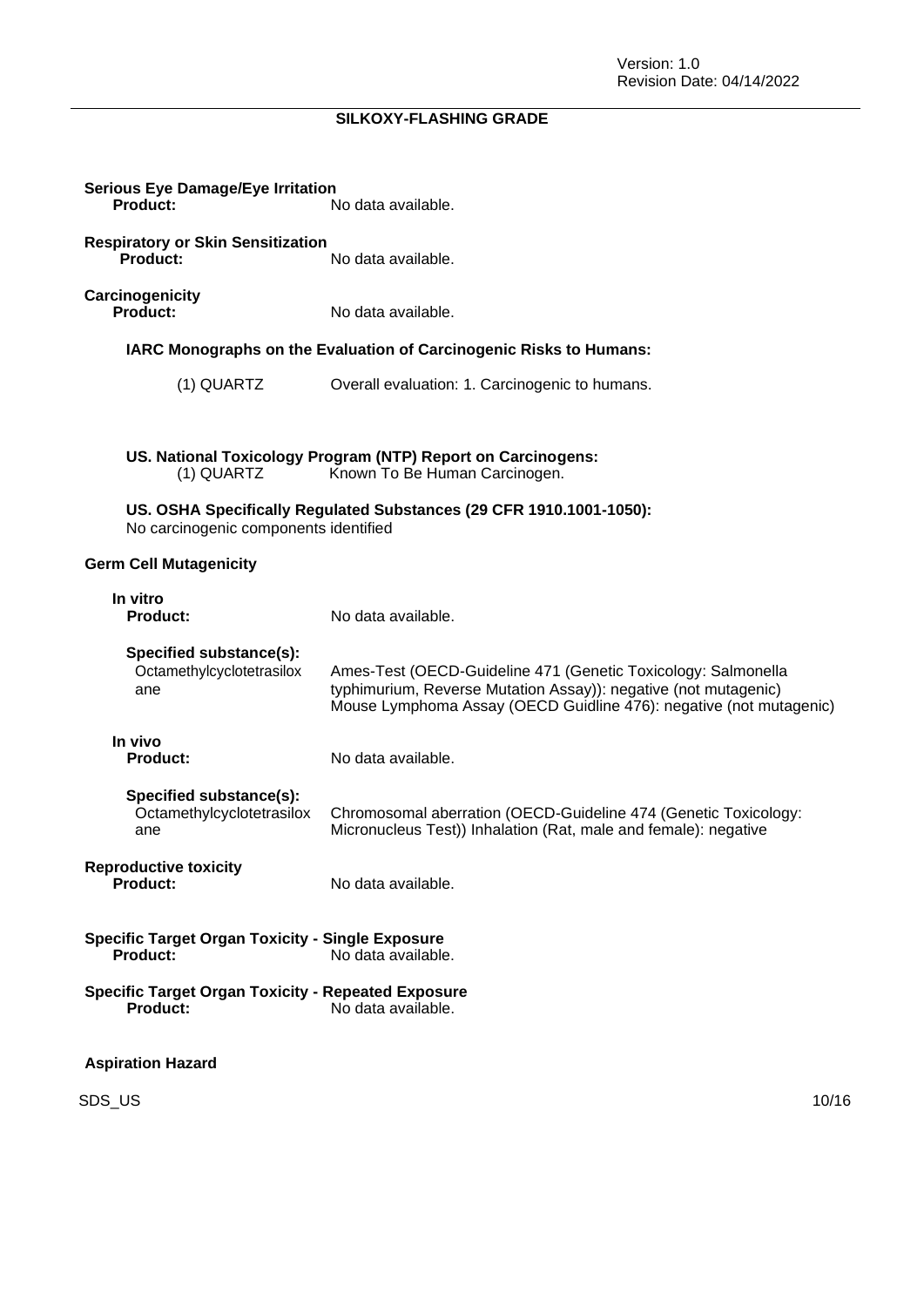| <b>Serious Eye Damage/Eye Irritation</b><br>Product:                                      | No data available.                                                                                                                                                                                     |  |
|-------------------------------------------------------------------------------------------|--------------------------------------------------------------------------------------------------------------------------------------------------------------------------------------------------------|--|
| <b>Respiratory or Skin Sensitization</b><br>Product:                                      | No data available.                                                                                                                                                                                     |  |
| Carcinogenicity<br>Product:                                                               | No data available.                                                                                                                                                                                     |  |
|                                                                                           | IARC Monographs on the Evaluation of Carcinogenic Risks to Humans:                                                                                                                                     |  |
| (1) QUARTZ                                                                                | Overall evaluation: 1. Carcinogenic to humans.                                                                                                                                                         |  |
|                                                                                           |                                                                                                                                                                                                        |  |
| (1) QUARTZ                                                                                | US. National Toxicology Program (NTP) Report on Carcinogens:<br>Known To Be Human Carcinogen.                                                                                                          |  |
| No carcinogenic components identified                                                     | US. OSHA Specifically Regulated Substances (29 CFR 1910.1001-1050):                                                                                                                                    |  |
| <b>Germ Cell Mutagenicity</b>                                                             |                                                                                                                                                                                                        |  |
| In vitro<br><b>Product:</b>                                                               | No data available.                                                                                                                                                                                     |  |
| Specified substance(s):<br>Octamethylcyclotetrasilox<br>ane                               | Ames-Test (OECD-Guideline 471 (Genetic Toxicology: Salmonella<br>typhimurium, Reverse Mutation Assay)): negative (not mutagenic)<br>Mouse Lymphoma Assay (OECD Guidline 476): negative (not mutagenic) |  |
| In vivo<br><b>Product:</b>                                                                | No data available.                                                                                                                                                                                     |  |
| Specified substance(s):<br>Octamethylcyclotetrasilox<br>ane                               | Chromosomal aberration (OECD-Guideline 474 (Genetic Toxicology:<br>Micronucleus Test)) Inhalation (Rat, male and female): negative                                                                     |  |
| <b>Reproductive toxicity</b><br>Product:                                                  | No data available.                                                                                                                                                                                     |  |
| <b>Specific Target Organ Toxicity - Single Exposure</b><br>Product:<br>No data available. |                                                                                                                                                                                                        |  |
| <b>Specific Target Organ Toxicity - Repeated Exposure</b><br><b>Product:</b>              | No data available.                                                                                                                                                                                     |  |
| <b>Aspiration Hazard</b>                                                                  |                                                                                                                                                                                                        |  |

SDS\_US 10/16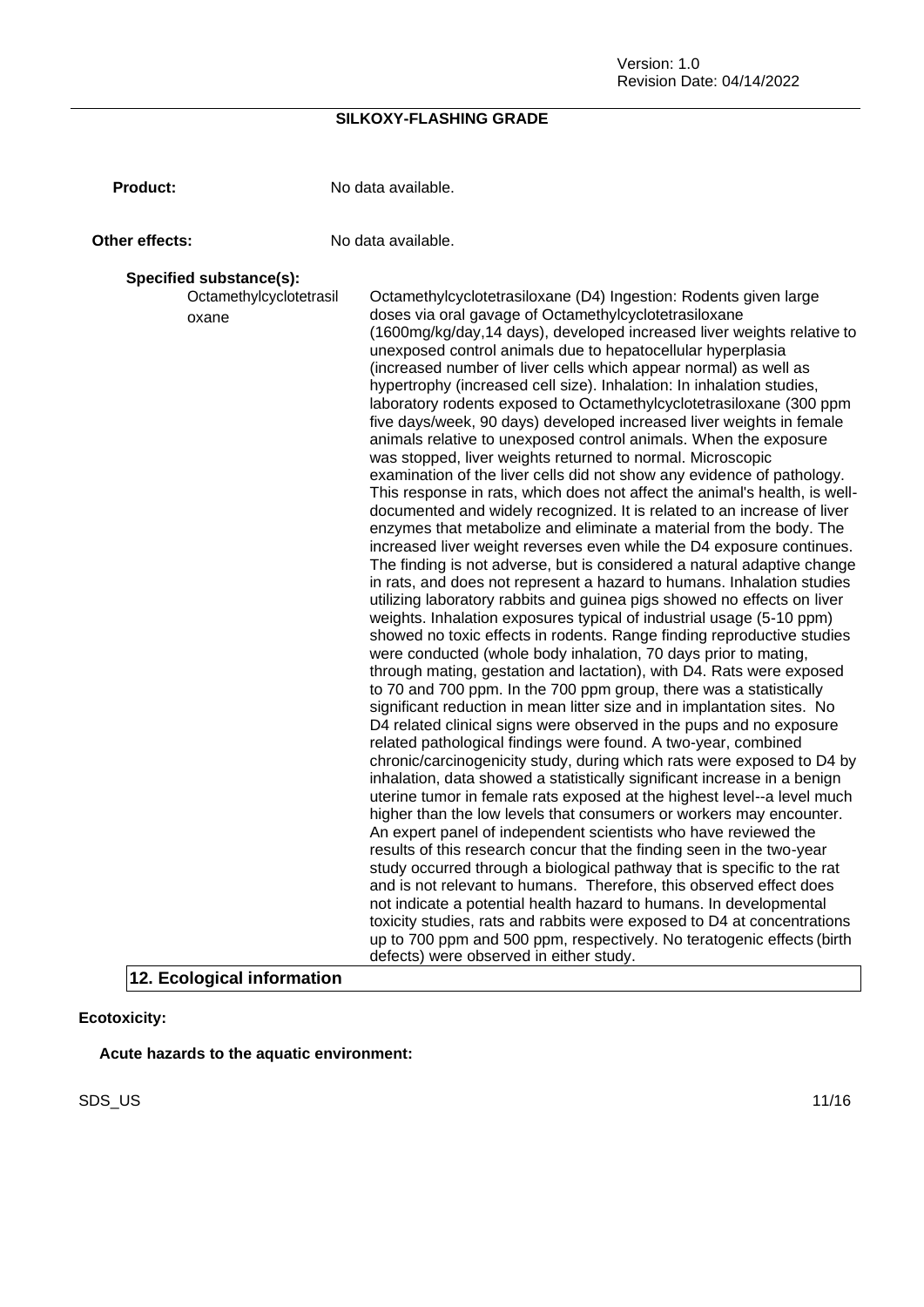Version: 1.0 Revision Date: 04/14/2022

#### **SILKOXY-FLASHING GRADE**

**Product:** No data available.

**Other effects:** No data available.

#### **Specified substance(s):**

Octamethylcyclotetrasil oxane Octamethylcyclotetrasiloxane (D4) Ingestion: Rodents given large doses via oral gavage of Octamethylcyclotetrasiloxane (1600mg/kg/day,14 days), developed increased liver weights relative to unexposed control animals due to hepatocellular hyperplasia (increased number of liver cells which appear normal) as well as hypertrophy (increased cell size). Inhalation: In inhalation studies, laboratory rodents exposed to Octamethylcyclotetrasiloxane (300 ppm five days/week, 90 days) developed increased liver weights in female animals relative to unexposed control animals. When the exposure was stopped, liver weights returned to normal. Microscopic examination of the liver cells did not show any evidence of pathology. This response in rats, which does not affect the animal's health, is welldocumented and widely recognized. It is related to an increase of liver enzymes that metabolize and eliminate a material from the body. The increased liver weight reverses even while the D4 exposure continues. The finding is not adverse, but is considered a natural adaptive change in rats, and does not represent a hazard to humans. Inhalation studies utilizing laboratory rabbits and guinea pigs showed no effects on liver weights. Inhalation exposures typical of industrial usage (5-10 ppm) showed no toxic effects in rodents. Range finding reproductive studies were conducted (whole body inhalation, 70 days prior to mating, through mating, gestation and lactation), with D4. Rats were exposed to 70 and 700 ppm. In the 700 ppm group, there was a statistically significant reduction in mean litter size and in implantation sites. No D4 related clinical signs were observed in the pups and no exposure related pathological findings were found. A two-year, combined chronic/carcinogenicity study, during which rats were exposed to D4 by inhalation, data showed a statistically significant increase in a benign uterine tumor in female rats exposed at the highest level--a level much higher than the low levels that consumers or workers may encounter. An expert panel of independent scientists who have reviewed the results of this research concur that the finding seen in the two-year study occurred through a biological pathway that is specific to the rat and is not relevant to humans. Therefore, this observed effect does not indicate a potential health hazard to humans. In developmental toxicity studies, rats and rabbits were exposed to D4 at concentrations up to 700 ppm and 500 ppm, respectively. No teratogenic effects (birth defects) were observed in either study. **12. Ecological information**

**Ecotoxicity:**

**Acute hazards to the aquatic environment:**

SDS\_US 11/16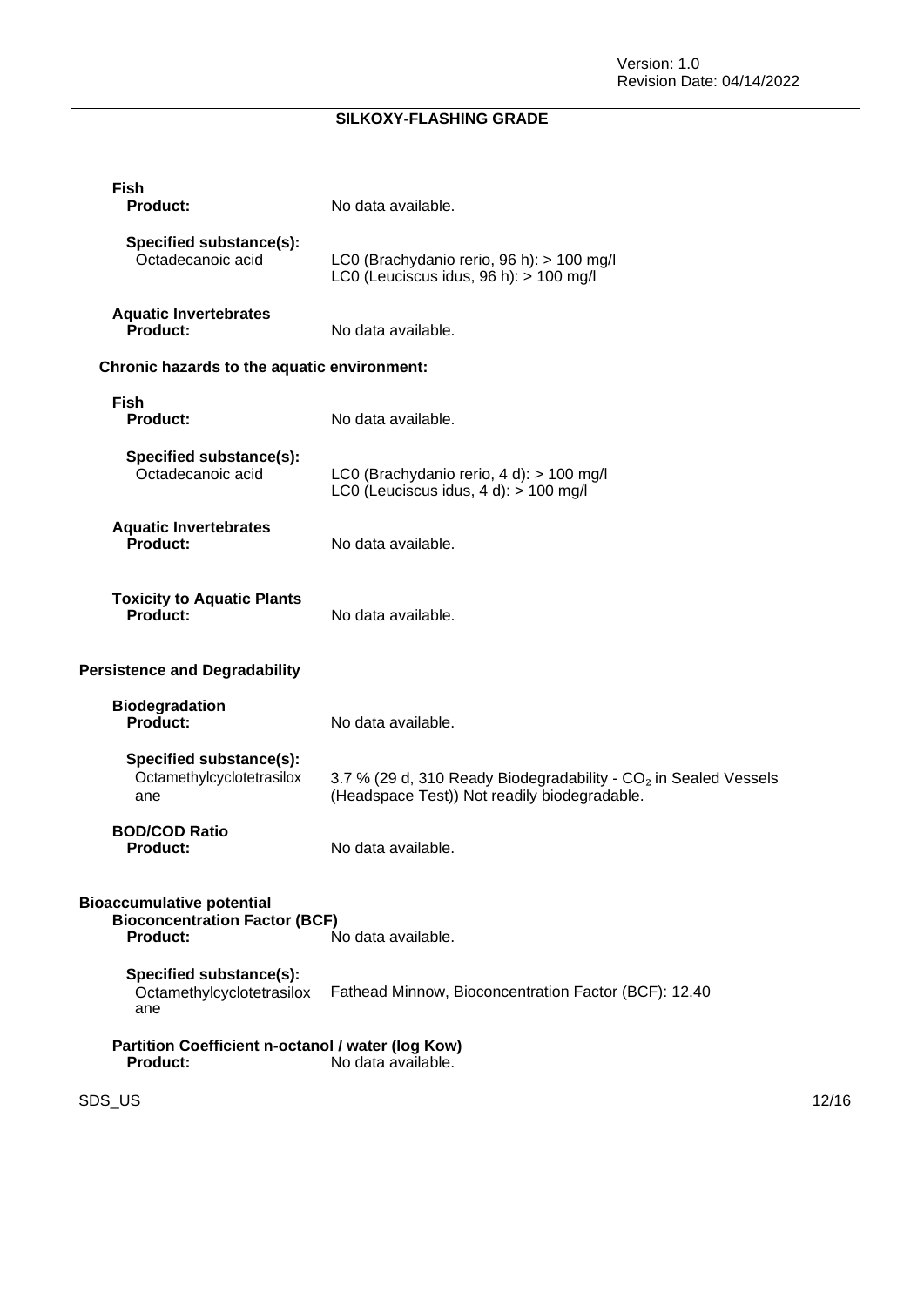| Fish<br>Product:                                                                            | No data available.                                                                                                          |       |
|---------------------------------------------------------------------------------------------|-----------------------------------------------------------------------------------------------------------------------------|-------|
| Specified substance(s):<br>Octadecanoic acid                                                | LC0 (Brachydanio rerio, 96 h): > 100 mg/l<br>LC0 (Leuciscus idus, $96 h$ ): $> 100 mg/l$                                    |       |
| <b>Aquatic Invertebrates</b><br>Product:                                                    | No data available.                                                                                                          |       |
| Chronic hazards to the aquatic environment:                                                 |                                                                                                                             |       |
| <b>Fish</b><br><b>Product:</b>                                                              | No data available.                                                                                                          |       |
| Specified substance(s):<br>Octadecanoic acid                                                | LC0 (Brachydanio rerio, 4 d): > 100 mg/l<br>LC0 (Leuciscus idus, 4 d): > 100 mg/l                                           |       |
| <b>Aquatic Invertebrates</b><br>Product:                                                    | No data available.                                                                                                          |       |
| <b>Toxicity to Aquatic Plants</b><br>Product:                                               | No data available.                                                                                                          |       |
| <b>Persistence and Degradability</b>                                                        |                                                                                                                             |       |
| <b>Biodegradation</b><br>Product:                                                           | No data available.                                                                                                          |       |
| Specified substance(s):<br>Octamethylcyclotetrasilox<br>ane                                 | 3.7 % (29 d, 310 Ready Biodegradability - CO <sub>2</sub> in Sealed Vessels<br>(Headspace Test)) Not readily biodegradable. |       |
| <b>BOD/COD Ratio</b><br><b>Product:</b>                                                     | No data available.                                                                                                          |       |
| <b>Bioaccumulative potential</b><br><b>Bioconcentration Factor (BCF)</b><br><b>Product:</b> | No data available.                                                                                                          |       |
| Specified substance(s):<br>Octamethylcyclotetrasilox<br>ane                                 | Fathead Minnow, Bioconcentration Factor (BCF): 12.40                                                                        |       |
| Partition Coefficient n-octanol / water (log Kow)<br><b>Product:</b>                        | No data available.                                                                                                          |       |
| SDS_US                                                                                      |                                                                                                                             | 12/16 |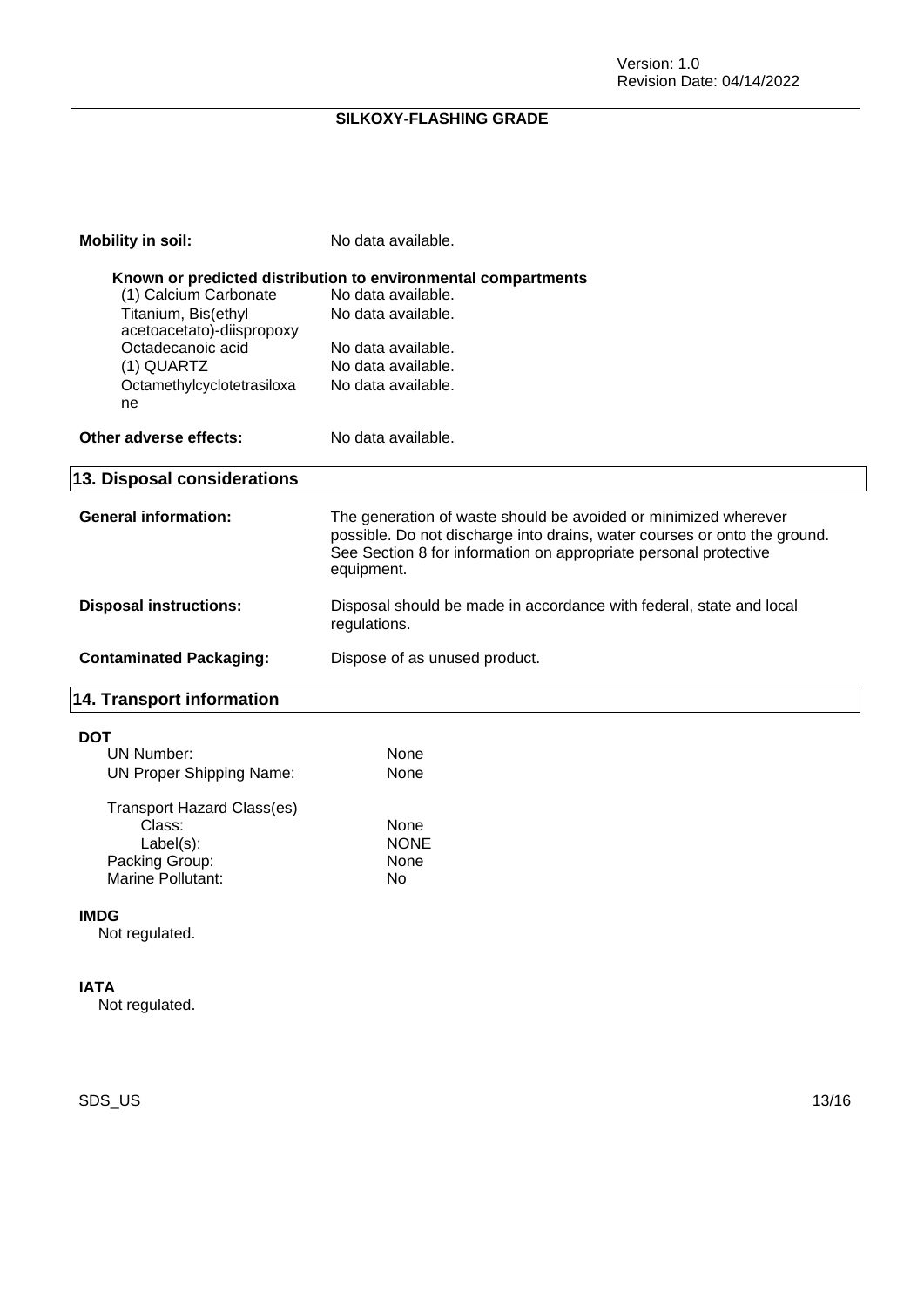| <b>Mobility in soil:</b>                         | No data available.                                                                                                                                                                                                             |
|--------------------------------------------------|--------------------------------------------------------------------------------------------------------------------------------------------------------------------------------------------------------------------------------|
|                                                  | Known or predicted distribution to environmental compartments                                                                                                                                                                  |
| (1) Calcium Carbonate                            | No data available.                                                                                                                                                                                                             |
| Titanium, Bis(ethyl<br>acetoacetato)-diispropoxy | No data available.                                                                                                                                                                                                             |
| Octadecanoic acid                                | No data available.                                                                                                                                                                                                             |
| (1) QUARTZ                                       | No data available.                                                                                                                                                                                                             |
| Octamethylcyclotetrasiloxa<br>ne                 | No data available.                                                                                                                                                                                                             |
| Other adverse effects:                           | No data available.                                                                                                                                                                                                             |
| 13. Disposal considerations                      |                                                                                                                                                                                                                                |
| <b>General information:</b>                      | The generation of waste should be avoided or minimized wherever<br>possible. Do not discharge into drains, water courses or onto the ground.<br>See Section 8 for information on appropriate personal protective<br>equipment. |
| <b>Disposal instructions:</b>                    | Disposal should be made in accordance with federal, state and local<br>regulations.                                                                                                                                            |
| <b>Contaminated Packaging:</b>                   | Dispose of as unused product.                                                                                                                                                                                                  |
| 14. Transport information                        |                                                                                                                                                                                                                                |
| <b>DOT</b>                                       |                                                                                                                                                                                                                                |
| UN Number:                                       | None                                                                                                                                                                                                                           |
| <b>UN Proper Shipping Name:</b>                  | None                                                                                                                                                                                                                           |
| Transport Hazard Class(es)                       |                                                                                                                                                                                                                                |

| Transport Hazard Glassles) |             |
|----------------------------|-------------|
| Class:                     | None        |
| $Label(s)$ :               | <b>NONE</b> |
| Packing Group:             | None        |
| Marine Pollutant:          | N٥          |
|                            |             |

#### **IMDG**

Not regulated.

#### **IATA**

Not regulated.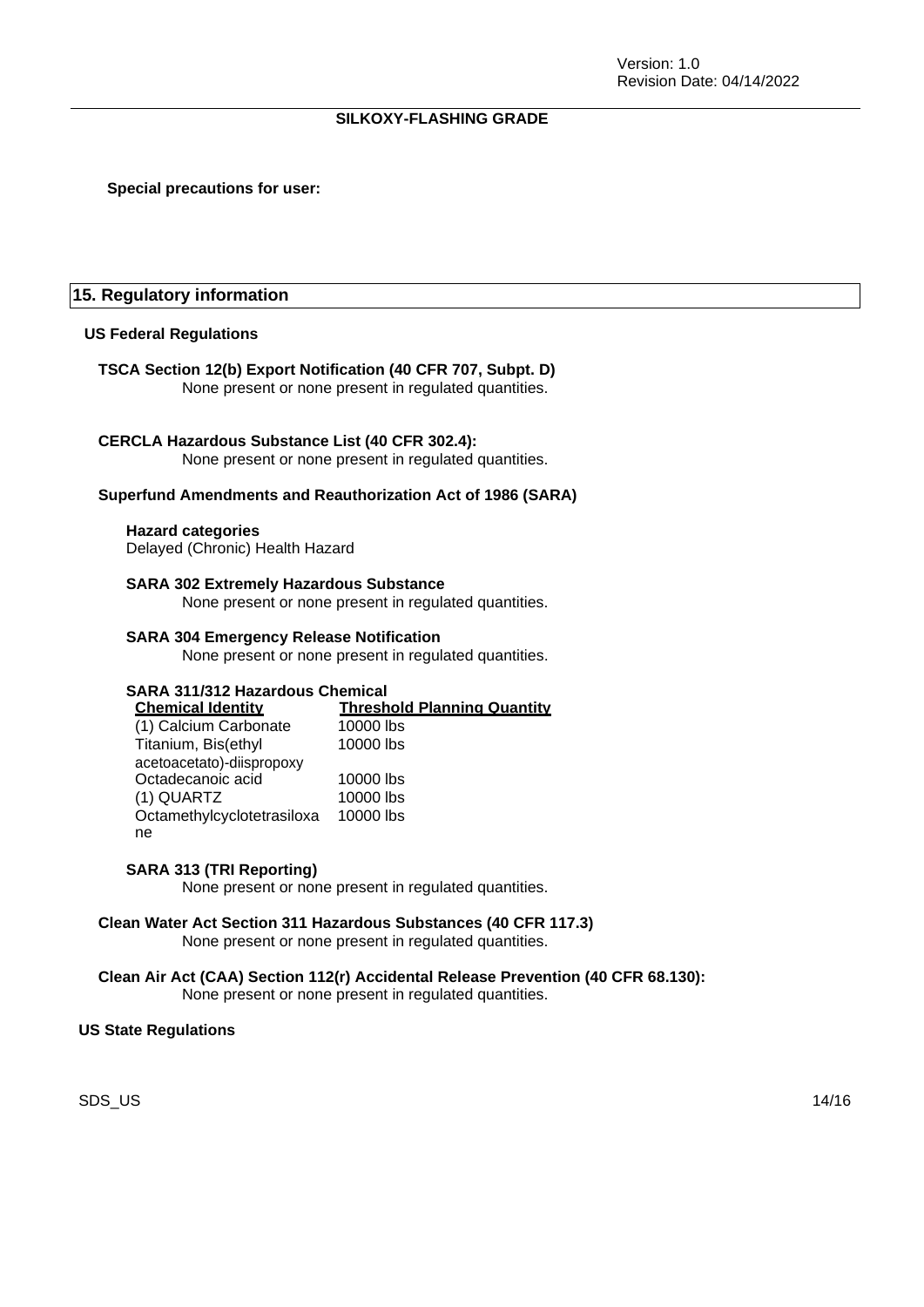#### **Special precautions for user:**

#### **15. Regulatory information**

#### **US Federal Regulations**

#### **TSCA Section 12(b) Export Notification (40 CFR 707, Subpt. D)**

None present or none present in regulated quantities.

#### **CERCLA Hazardous Substance List (40 CFR 302.4):**

None present or none present in regulated quantities.

#### **Superfund Amendments and Reauthorization Act of 1986 (SARA)**

#### **Hazard categories**

Delayed (Chronic) Health Hazard

#### **SARA 302 Extremely Hazardous Substance**

None present or none present in regulated quantities.

#### **SARA 304 Emergency Release Notification**

None present or none present in regulated quantities.

#### **SARA 311/312 Hazardous Chemical**

**Chemical Identity Threshold Planning Quantity** (1) Calcium Carbonate 10000 lbs  $100001$ 

| Titanium, Bis(ethyl        | 10000 lbs |
|----------------------------|-----------|
| acetoacetato)-diispropoxy  |           |
| Octadecanoic acid          | 10000 lbs |
| (1) QUARTZ                 | 10000 lbs |
| Octamethylcyclotetrasiloxa | 10000 lbs |
| ne                         |           |

#### **SARA 313 (TRI Reporting)**

None present or none present in regulated quantities.

#### **Clean Water Act Section 311 Hazardous Substances (40 CFR 117.3)** None present or none present in regulated quantities.

### **Clean Air Act (CAA) Section 112(r) Accidental Release Prevention (40 CFR 68.130):**

None present or none present in regulated quantities.

#### **US State Regulations**

SDS\_US 14/16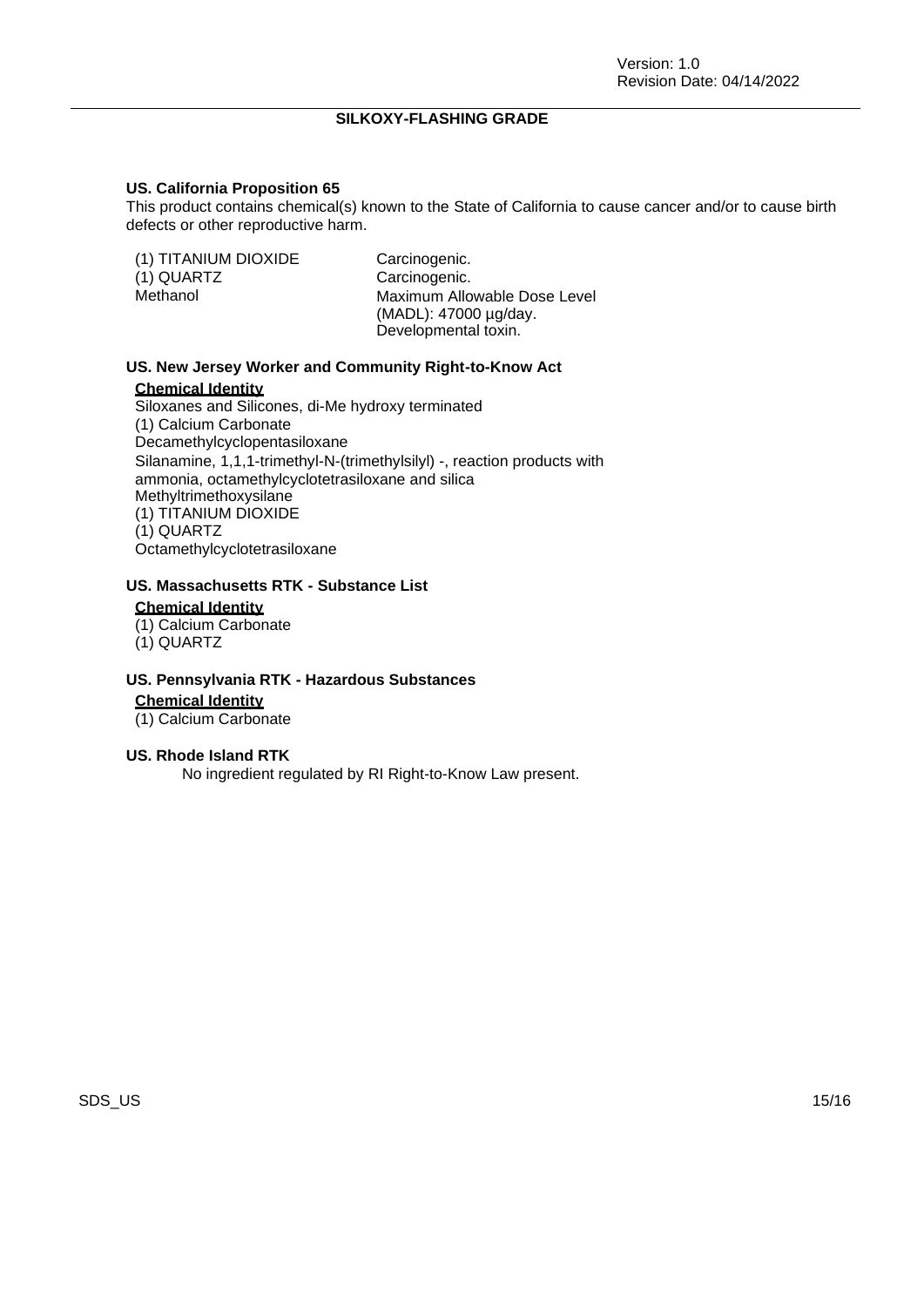#### **US. California Proposition 65**

This product contains chemical(s) known to the State of California to cause cancer and/or to cause birth defects or other reproductive harm.

| (1) TITANIUM DIOXIDE<br>(1) QUARTZ<br>Methanol | Carcinogenic.<br>Carcinogenic.<br>Maximum Allowable Dose Level<br>(MADL): 47000 µg/day. |
|------------------------------------------------|-----------------------------------------------------------------------------------------|
|                                                | Developmental toxin.                                                                    |

#### **US. New Jersey Worker and Community Right-to-Know Act**

#### **Chemical Identity**

Siloxanes and Silicones, di-Me hydroxy terminated (1) Calcium Carbonate Decamethylcyclopentasiloxane Silanamine, 1,1,1-trimethyl-N-(trimethylsilyl) -, reaction products with ammonia, octamethylcyclotetrasiloxane and silica Methyltrimethoxysilane (1) TITANIUM DIOXIDE (1) QUARTZ Octamethylcyclotetrasiloxane

## **US. Massachusetts RTK - Substance List**

### **Chemical Identity**

- (1) Calcium Carbonate
- (1) QUARTZ

#### **US. Pennsylvania RTK - Hazardous Substances**

**Chemical Identity**

(1) Calcium Carbonate

#### **US. Rhode Island RTK**

No ingredient regulated by RI Right-to-Know Law present.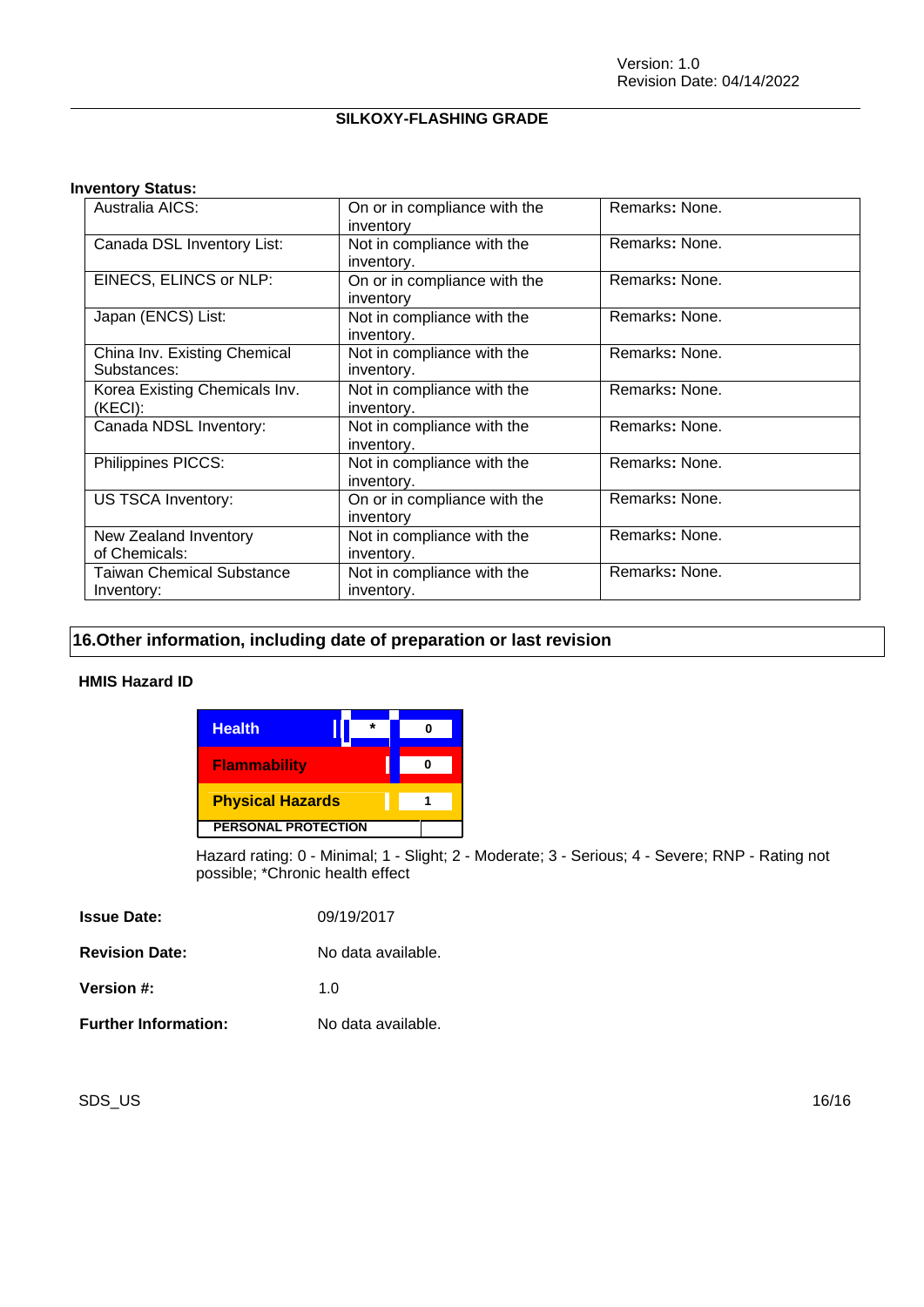#### **Inventory Status:**

| Australia AICS:                                | On or in compliance with the<br>inventory | Remarks: None. |
|------------------------------------------------|-------------------------------------------|----------------|
| Canada DSL Inventory List:                     | Not in compliance with the<br>inventory.  | Remarks: None. |
| EINECS, ELINCS or NLP:                         | On or in compliance with the<br>inventory | Remarks: None. |
| Japan (ENCS) List:                             | Not in compliance with the<br>inventory.  | Remarks: None. |
| China Inv. Existing Chemical<br>Substances:    | Not in compliance with the<br>inventory.  | Remarks: None. |
| Korea Existing Chemicals Inv.<br>(KECI):       | Not in compliance with the<br>inventory.  | Remarks: None. |
| Canada NDSL Inventory:                         | Not in compliance with the<br>inventory.  | Remarks: None. |
| Philippines PICCS:                             | Not in compliance with the<br>inventory.  | Remarks: None. |
| US TSCA Inventory:                             | On or in compliance with the<br>inventory | Remarks: None. |
| New Zealand Inventory<br>of Chemicals:         | Not in compliance with the<br>inventory.  | Remarks: None. |
| <b>Taiwan Chemical Substance</b><br>Inventory: | Not in compliance with the<br>inventory.  | Remarks: None. |

### **16.Other information, including date of preparation or last revision**

#### **HMIS Hazard ID**

| <b>Health</b>              |  |  |
|----------------------------|--|--|
| <b>Flammability</b>        |  |  |
| <b>Physical Hazards</b>    |  |  |
| <b>PERSONAL PROTECTION</b> |  |  |

Hazard rating: 0 - Minimal; 1 - Slight; 2 - Moderate; 3 - Serious; 4 - Severe; RNP - Rating not possible; \*Chronic health effect

| <b>Issue Date:</b>          | 09/19/2017         |
|-----------------------------|--------------------|
| <b>Revision Date:</b>       | No data available. |
| Version #:                  | 1 O                |
| <b>Further Information:</b> | No data available. |